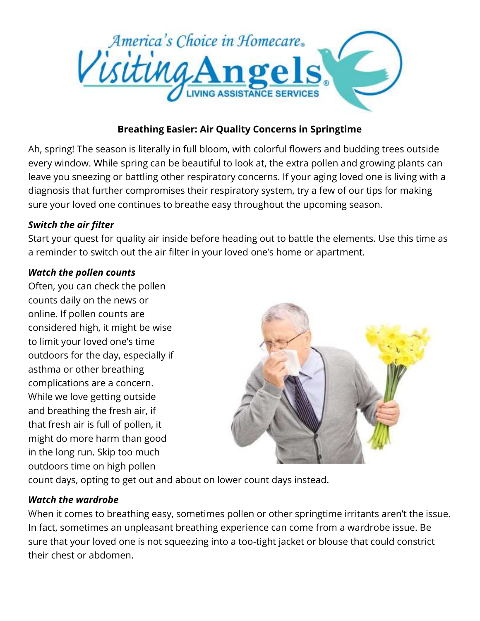

# **Breathing Easier: Air Quality Concerns in Springtime**

Ah, spring! The season is literally in full bloom, with colorful flowers and budding trees outside every window. While spring can be beautiful to look at, the extra pollen and growing plants can leave you sneezing or battling other respiratory concerns. If your aging loved one is living with a diagnosis that further compromises their respiratory system, try a few of our tips for making sure your loved one continues to breathe easy throughout the upcoming season.

### *Switch the air filter*

Start your quest for quality air inside before heading out to battle the elements. Use this time as a reminder to switch out the air filter in your loved one's home or apartment.

### *Watch the pollen counts*

Often, you can check the pollen counts daily on the news or online. If pollen counts are considered high, it might be wise to limit your loved one's time outdoors for the day, especially if asthma or other breathing complications are a concern. While we love getting outside and breathing the fresh air, if that fresh air is full of pollen, it might do more harm than good in the long run. Skip too much outdoors time on high pollen



count days, opting to get out and about on lower count days instead.

## *Watch the wardrobe*

When it comes to breathing easy, sometimes pollen or other springtime irritants aren't the issue. In fact, sometimes an unpleasant breathing experience can come from a wardrobe issue. Be sure that your loved one is not squeezing into a too-tight jacket or blouse that could constrict their chest or abdomen.